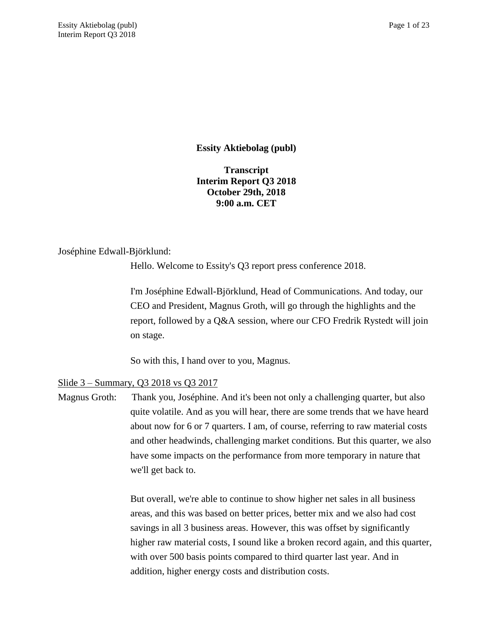**Essity Aktiebolag (publ)**

**Transcript Interim Report Q3 2018 October 29th, 2018 9:00 a.m. CET**

## Joséphine Edwall-Björklund:

Hello. Welcome to Essity's Q3 report press conference 2018.

I'm Joséphine Edwall-Björklund, Head of Communications. And today, our CEO and President, Magnus Groth, will go through the highlights and the report, followed by a Q&A session, where our CFO Fredrik Rystedt will join on stage.

So with this, I hand over to you, Magnus.

# Slide 3 – Summary, Q3 2018 vs Q3 2017

Magnus Groth: Thank you, Joséphine. And it's been not only a challenging quarter, but also quite volatile. And as you will hear, there are some trends that we have heard about now for 6 or 7 quarters. I am, of course, referring to raw material costs and other headwinds, challenging market conditions. But this quarter, we also have some impacts on the performance from more temporary in nature that we'll get back to.

> But overall, we're able to continue to show higher net sales in all business areas, and this was based on better prices, better mix and we also had cost savings in all 3 business areas. However, this was offset by significantly higher raw material costs, I sound like a broken record again, and this quarter, with over 500 basis points compared to third quarter last year. And in addition, higher energy costs and distribution costs.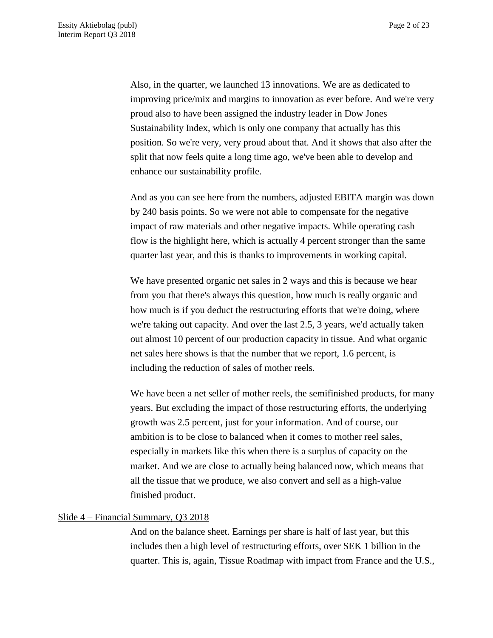Also, in the quarter, we launched 13 innovations. We are as dedicated to improving price/mix and margins to innovation as ever before. And we're very proud also to have been assigned the industry leader in Dow Jones Sustainability Index, which is only one company that actually has this position. So we're very, very proud about that. And it shows that also after the split that now feels quite a long time ago, we've been able to develop and enhance our sustainability profile.

And as you can see here from the numbers, adjusted EBITA margin was down by 240 basis points. So we were not able to compensate for the negative impact of raw materials and other negative impacts. While operating cash flow is the highlight here, which is actually 4 percent stronger than the same quarter last year, and this is thanks to improvements in working capital.

We have presented organic net sales in 2 ways and this is because we hear from you that there's always this question, how much is really organic and how much is if you deduct the restructuring efforts that we're doing, where we're taking out capacity. And over the last 2.5, 3 years, we'd actually taken out almost 10 percent of our production capacity in tissue. And what organic net sales here shows is that the number that we report, 1.6 percent, is including the reduction of sales of mother reels.

We have been a net seller of mother reels, the semifinished products, for many years. But excluding the impact of those restructuring efforts, the underlying growth was 2.5 percent, just for your information. And of course, our ambition is to be close to balanced when it comes to mother reel sales, especially in markets like this when there is a surplus of capacity on the market. And we are close to actually being balanced now, which means that all the tissue that we produce, we also convert and sell as a high-value finished product.

#### Slide 4 – Financial Summary, Q3 2018

And on the balance sheet. Earnings per share is half of last year, but this includes then a high level of restructuring efforts, over SEK 1 billion in the quarter. This is, again, Tissue Roadmap with impact from France and the U.S.,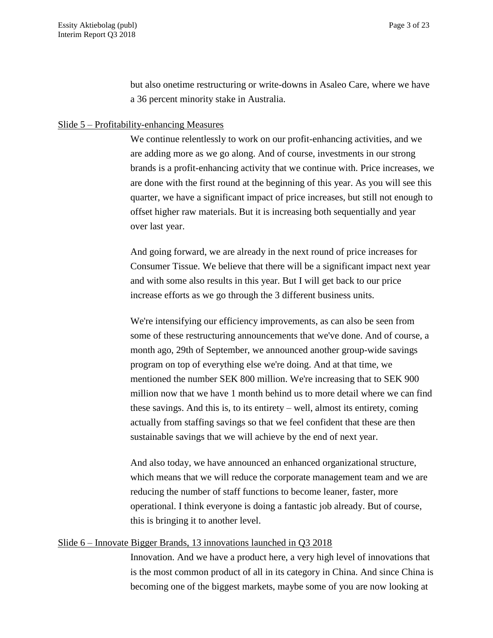but also onetime restructuring or write-downs in Asaleo Care, where we have a 36 percent minority stake in Australia.

### Slide 5 – Profitability-enhancing Measures

We continue relentlessly to work on our profit-enhancing activities, and we are adding more as we go along. And of course, investments in our strong brands is a profit-enhancing activity that we continue with. Price increases, we are done with the first round at the beginning of this year. As you will see this quarter, we have a significant impact of price increases, but still not enough to offset higher raw materials. But it is increasing both sequentially and year over last year.

And going forward, we are already in the next round of price increases for Consumer Tissue. We believe that there will be a significant impact next year and with some also results in this year. But I will get back to our price increase efforts as we go through the 3 different business units.

We're intensifying our efficiency improvements, as can also be seen from some of these restructuring announcements that we've done. And of course, a month ago, 29th of September, we announced another group-wide savings program on top of everything else we're doing. And at that time, we mentioned the number SEK 800 million. We're increasing that to SEK 900 million now that we have 1 month behind us to more detail where we can find these savings. And this is, to its entirety – well, almost its entirety, coming actually from staffing savings so that we feel confident that these are then sustainable savings that we will achieve by the end of next year.

And also today, we have announced an enhanced organizational structure, which means that we will reduce the corporate management team and we are reducing the number of staff functions to become leaner, faster, more operational. I think everyone is doing a fantastic job already. But of course, this is bringing it to another level.

#### Slide 6 – Innovate Bigger Brands, 13 innovations launched in Q3 2018

Innovation. And we have a product here, a very high level of innovations that is the most common product of all in its category in China. And since China is becoming one of the biggest markets, maybe some of you are now looking at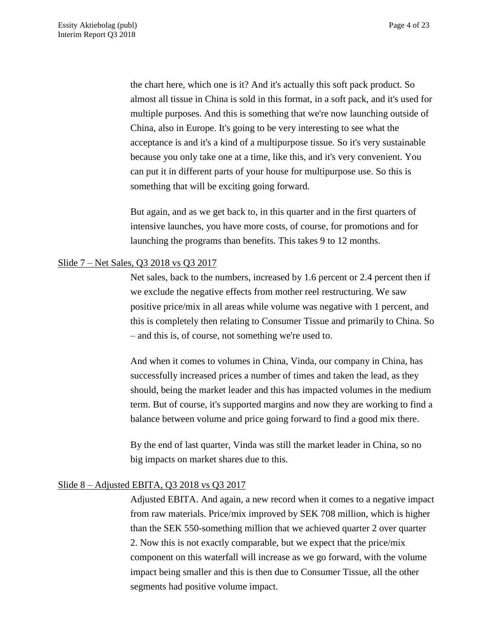the chart here, which one is it? And it's actually this soft pack product. So almost all tissue in China is sold in this format, in a soft pack, and it's used for multiple purposes. And this is something that we're now launching outside of China, also in Europe. It's going to be very interesting to see what the acceptance is and it's a kind of a multipurpose tissue. So it's very sustainable because you only take one at a time, like this, and it's very convenient. You can put it in different parts of your house for multipurpose use. So this is something that will be exciting going forward.

But again, and as we get back to, in this quarter and in the first quarters of intensive launches, you have more costs, of course, for promotions and for launching the programs than benefits. This takes 9 to 12 months.

## Slide 7 – Net Sales, Q3 2018 vs Q3 2017

Net sales, back to the numbers, increased by 1.6 percent or 2.4 percent then if we exclude the negative effects from mother reel restructuring. We saw positive price/mix in all areas while volume was negative with 1 percent, and this is completely then relating to Consumer Tissue and primarily to China. So – and this is, of course, not something we're used to.

And when it comes to volumes in China, Vinda, our company in China, has successfully increased prices a number of times and taken the lead, as they should, being the market leader and this has impacted volumes in the medium term. But of course, it's supported margins and now they are working to find a balance between volume and price going forward to find a good mix there.

By the end of last quarter, Vinda was still the market leader in China, so no big impacts on market shares due to this.

### Slide 8 – Adjusted EBITA, Q3 2018 vs Q3 2017

Adjusted EBITA. And again, a new record when it comes to a negative impact from raw materials. Price/mix improved by SEK 708 million, which is higher than the SEK 550-something million that we achieved quarter 2 over quarter 2. Now this is not exactly comparable, but we expect that the price/mix component on this waterfall will increase as we go forward, with the volume impact being smaller and this is then due to Consumer Tissue, all the other segments had positive volume impact.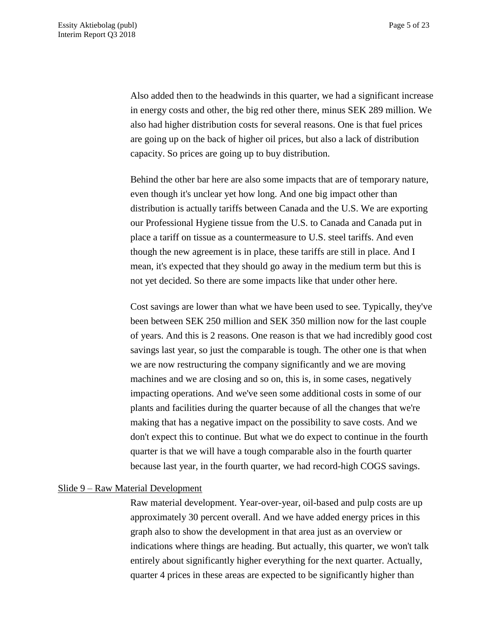Also added then to the headwinds in this quarter, we had a significant increase in energy costs and other, the big red other there, minus SEK 289 million. We also had higher distribution costs for several reasons. One is that fuel prices are going up on the back of higher oil prices, but also a lack of distribution capacity. So prices are going up to buy distribution.

Behind the other bar here are also some impacts that are of temporary nature, even though it's unclear yet how long. And one big impact other than distribution is actually tariffs between Canada and the U.S. We are exporting our Professional Hygiene tissue from the U.S. to Canada and Canada put in place a tariff on tissue as a countermeasure to U.S. steel tariffs. And even though the new agreement is in place, these tariffs are still in place. And I mean, it's expected that they should go away in the medium term but this is not yet decided. So there are some impacts like that under other here.

Cost savings are lower than what we have been used to see. Typically, they've been between SEK 250 million and SEK 350 million now for the last couple of years. And this is 2 reasons. One reason is that we had incredibly good cost savings last year, so just the comparable is tough. The other one is that when we are now restructuring the company significantly and we are moving machines and we are closing and so on, this is, in some cases, negatively impacting operations. And we've seen some additional costs in some of our plants and facilities during the quarter because of all the changes that we're making that has a negative impact on the possibility to save costs. And we don't expect this to continue. But what we do expect to continue in the fourth quarter is that we will have a tough comparable also in the fourth quarter because last year, in the fourth quarter, we had record-high COGS savings.

#### Slide 9 – Raw Material Development

Raw material development. Year-over-year, oil-based and pulp costs are up approximately 30 percent overall. And we have added energy prices in this graph also to show the development in that area just as an overview or indications where things are heading. But actually, this quarter, we won't talk entirely about significantly higher everything for the next quarter. Actually, quarter 4 prices in these areas are expected to be significantly higher than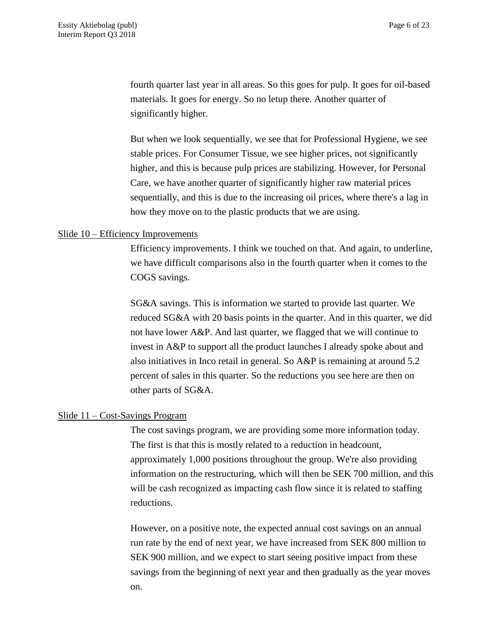fourth quarter last year in all areas. So this goes for pulp. It goes for oil-based materials. It goes for energy. So no letup there. Another quarter of significantly higher.

But when we look sequentially, we see that for Professional Hygiene, we see stable prices. For Consumer Tissue, we see higher prices, not significantly higher, and this is because pulp prices are stabilizing. However, for Personal Care, we have another quarter of significantly higher raw material prices sequentially, and this is due to the increasing oil prices, where there's a lag in how they move on to the plastic products that we are using.

## Slide 10 – Efficiency Improvements

Efficiency improvements. I think we touched on that. And again, to underline, we have difficult comparisons also in the fourth quarter when it comes to the COGS savings.

SG&A savings. This is information we started to provide last quarter. We reduced SG&A with 20 basis points in the quarter. And in this quarter, we did not have lower A&P. And last quarter, we flagged that we will continue to invest in A&P to support all the product launches I already spoke about and also initiatives in Inco retail in general. So A&P is remaining at around 5.2 percent of sales in this quarter. So the reductions you see here are then on other parts of SG&A.

#### Slide 11 – Cost-Savings Program

The cost savings program, we are providing some more information today. The first is that this is mostly related to a reduction in headcount, approximately 1,000 positions throughout the group. We're also providing information on the restructuring, which will then be SEK 700 million, and this will be cash recognized as impacting cash flow since it is related to staffing reductions.

However, on a positive note, the expected annual cost savings on an annual run rate by the end of next year, we have increased from SEK 800 million to SEK 900 million, and we expect to start seeing positive impact from these savings from the beginning of next year and then gradually as the year moves on.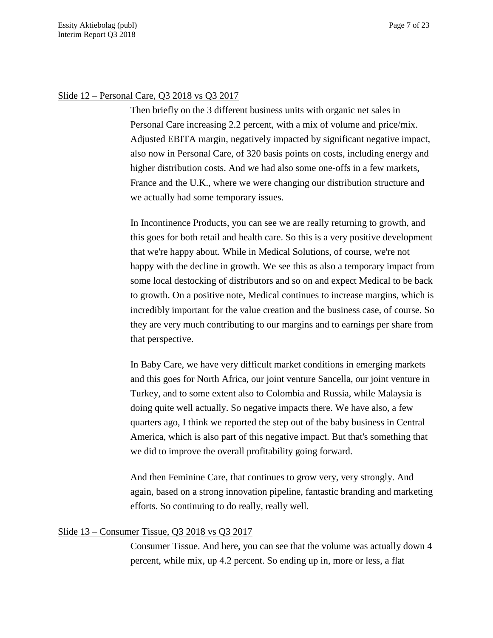## Slide 12 – Personal Care, Q3 2018 vs Q3 2017

Then briefly on the 3 different business units with organic net sales in Personal Care increasing 2.2 percent, with a mix of volume and price/mix. Adjusted EBITA margin, negatively impacted by significant negative impact, also now in Personal Care, of 320 basis points on costs, including energy and higher distribution costs. And we had also some one-offs in a few markets, France and the U.K., where we were changing our distribution structure and we actually had some temporary issues.

In Incontinence Products, you can see we are really returning to growth, and this goes for both retail and health care. So this is a very positive development that we're happy about. While in Medical Solutions, of course, we're not happy with the decline in growth. We see this as also a temporary impact from some local destocking of distributors and so on and expect Medical to be back to growth. On a positive note, Medical continues to increase margins, which is incredibly important for the value creation and the business case, of course. So they are very much contributing to our margins and to earnings per share from that perspective.

In Baby Care, we have very difficult market conditions in emerging markets and this goes for North Africa, our joint venture Sancella, our joint venture in Turkey, and to some extent also to Colombia and Russia, while Malaysia is doing quite well actually. So negative impacts there. We have also, a few quarters ago, I think we reported the step out of the baby business in Central America, which is also part of this negative impact. But that's something that we did to improve the overall profitability going forward.

And then Feminine Care, that continues to grow very, very strongly. And again, based on a strong innovation pipeline, fantastic branding and marketing efforts. So continuing to do really, really well.

# Slide 13 – Consumer Tissue, Q3 2018 vs Q3 2017

Consumer Tissue. And here, you can see that the volume was actually down 4 percent, while mix, up 4.2 percent. So ending up in, more or less, a flat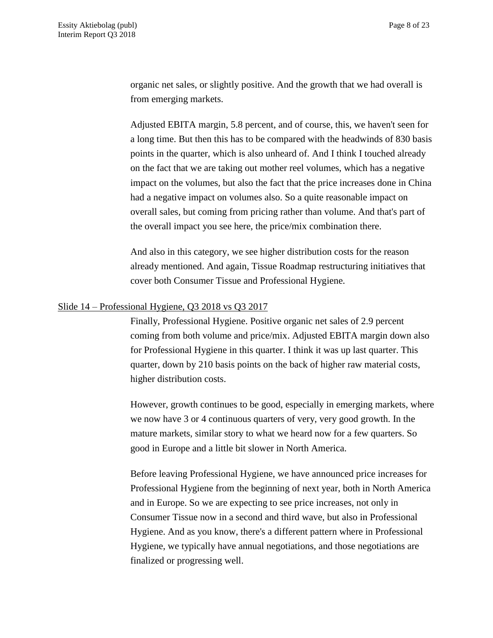organic net sales, or slightly positive. And the growth that we had overall is from emerging markets.

Adjusted EBITA margin, 5.8 percent, and of course, this, we haven't seen for a long time. But then this has to be compared with the headwinds of 830 basis points in the quarter, which is also unheard of. And I think I touched already on the fact that we are taking out mother reel volumes, which has a negative impact on the volumes, but also the fact that the price increases done in China had a negative impact on volumes also. So a quite reasonable impact on overall sales, but coming from pricing rather than volume. And that's part of the overall impact you see here, the price/mix combination there.

And also in this category, we see higher distribution costs for the reason already mentioned. And again, Tissue Roadmap restructuring initiatives that cover both Consumer Tissue and Professional Hygiene.

### Slide 14 – Professional Hygiene, Q3 2018 vs Q3 2017

Finally, Professional Hygiene. Positive organic net sales of 2.9 percent coming from both volume and price/mix. Adjusted EBITA margin down also for Professional Hygiene in this quarter. I think it was up last quarter. This quarter, down by 210 basis points on the back of higher raw material costs, higher distribution costs.

However, growth continues to be good, especially in emerging markets, where we now have 3 or 4 continuous quarters of very, very good growth. In the mature markets, similar story to what we heard now for a few quarters. So good in Europe and a little bit slower in North America.

Before leaving Professional Hygiene, we have announced price increases for Professional Hygiene from the beginning of next year, both in North America and in Europe. So we are expecting to see price increases, not only in Consumer Tissue now in a second and third wave, but also in Professional Hygiene. And as you know, there's a different pattern where in Professional Hygiene, we typically have annual negotiations, and those negotiations are finalized or progressing well.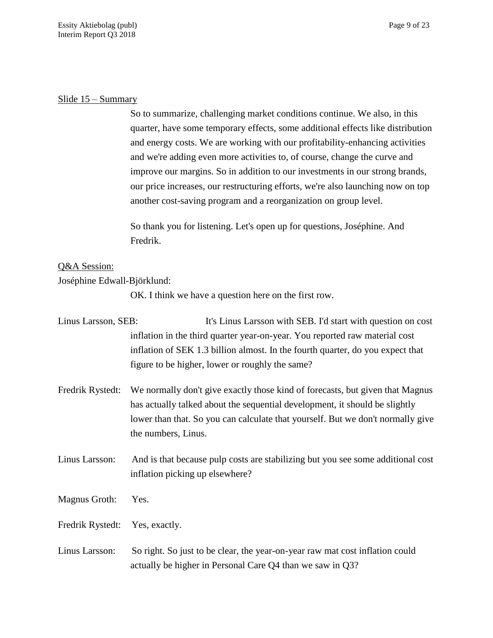## Slide 15 – Summary

So to summarize, challenging market conditions continue. We also, in this quarter, have some temporary effects, some additional effects like distribution and energy costs. We are working with our profitability-enhancing activities and we're adding even more activities to, of course, change the curve and improve our margins. So in addition to our investments in our strong brands, our price increases, our restructuring efforts, we're also launching now on top another cost-saving program and a reorganization on group level.

So thank you for listening. Let's open up for questions, Joséphine. And Fredrik.

# Q&A Session:

## Joséphine Edwall-Björklund:

OK. I think we have a question here on the first row.

| Linus Larsson, SEB: | It's Linus Larsson with SEB. I'd start with question on cost                                                                                                                                                                                                           |
|---------------------|------------------------------------------------------------------------------------------------------------------------------------------------------------------------------------------------------------------------------------------------------------------------|
|                     | inflation in the third quarter year-on-year. You reported raw material cost                                                                                                                                                                                            |
|                     | inflation of SEK 1.3 billion almost. In the fourth quarter, do you expect that                                                                                                                                                                                         |
|                     | figure to be higher, lower or roughly the same?                                                                                                                                                                                                                        |
| Fredrik Rystedt:    | We normally don't give exactly those kind of forecasts, but given that Magnus<br>has actually talked about the sequential development, it should be slightly<br>lower than that. So you can calculate that yourself. But we don't normally give<br>the numbers, Linus. |
| Linus Larsson:      | And is that because pulp costs are stabilizing but you see some additional cost<br>inflation picking up elsewhere?                                                                                                                                                     |
| Magnus Groth:       | Yes.                                                                                                                                                                                                                                                                   |
| Fredrik Rystedt:    | Yes, exactly.                                                                                                                                                                                                                                                          |
| Linus Larsson:      | So right. So just to be clear, the year-on-year raw mat cost inflation could                                                                                                                                                                                           |

actually be higher in Personal Care Q4 than we saw in Q3?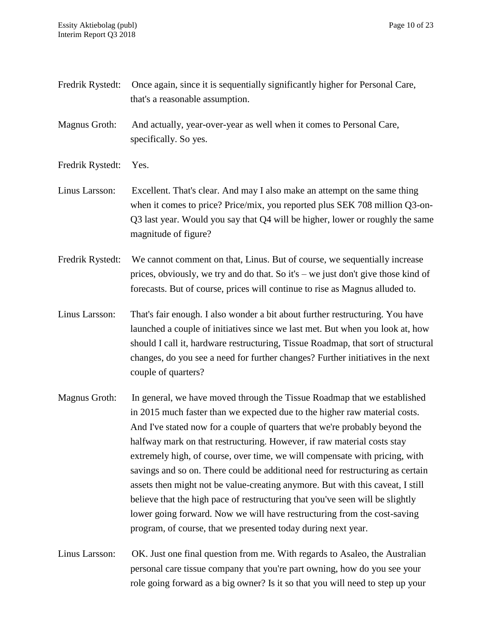| Fredrik Rystedt: | Once again, since it is sequentially significantly higher for Personal Care,<br>that's a reasonable assumption.                                                                                                                                                                                                                                                                                                                                                                                                                                                                                                                                                                                                                                                                                   |
|------------------|---------------------------------------------------------------------------------------------------------------------------------------------------------------------------------------------------------------------------------------------------------------------------------------------------------------------------------------------------------------------------------------------------------------------------------------------------------------------------------------------------------------------------------------------------------------------------------------------------------------------------------------------------------------------------------------------------------------------------------------------------------------------------------------------------|
| Magnus Groth:    | And actually, year-over-year as well when it comes to Personal Care,<br>specifically. So yes.                                                                                                                                                                                                                                                                                                                                                                                                                                                                                                                                                                                                                                                                                                     |
| Fredrik Rystedt: | Yes.                                                                                                                                                                                                                                                                                                                                                                                                                                                                                                                                                                                                                                                                                                                                                                                              |
| Linus Larsson:   | Excellent. That's clear. And may I also make an attempt on the same thing<br>when it comes to price? Price/mix, you reported plus SEK 708 million Q3-on-<br>Q3 last year. Would you say that Q4 will be higher, lower or roughly the same<br>magnitude of figure?                                                                                                                                                                                                                                                                                                                                                                                                                                                                                                                                 |
| Fredrik Rystedt: | We cannot comment on that, Linus. But of course, we sequentially increase<br>prices, obviously, we try and do that. So it's $-$ we just don't give those kind of<br>forecasts. But of course, prices will continue to rise as Magnus alluded to.                                                                                                                                                                                                                                                                                                                                                                                                                                                                                                                                                  |
| Linus Larsson:   | That's fair enough. I also wonder a bit about further restructuring. You have<br>launched a couple of initiatives since we last met. But when you look at, how<br>should I call it, hardware restructuring, Tissue Roadmap, that sort of structural<br>changes, do you see a need for further changes? Further initiatives in the next<br>couple of quarters?                                                                                                                                                                                                                                                                                                                                                                                                                                     |
| Magnus Groth:    | In general, we have moved through the Tissue Roadmap that we established<br>in 2015 much faster than we expected due to the higher raw material costs.<br>And I've stated now for a couple of quarters that we're probably beyond the<br>halfway mark on that restructuring. However, if raw material costs stay<br>extremely high, of course, over time, we will compensate with pricing, with<br>savings and so on. There could be additional need for restructuring as certain<br>assets then might not be value-creating anymore. But with this caveat, I still<br>believe that the high pace of restructuring that you've seen will be slightly<br>lower going forward. Now we will have restructuring from the cost-saving<br>program, of course, that we presented today during next year. |
| Linus Larsson:   | OK. Just one final question from me. With regards to Asaleo, the Australian<br>personal care tissue company that you're part owning, how do you see your                                                                                                                                                                                                                                                                                                                                                                                                                                                                                                                                                                                                                                          |

role going forward as a big owner? Is it so that you will need to step up your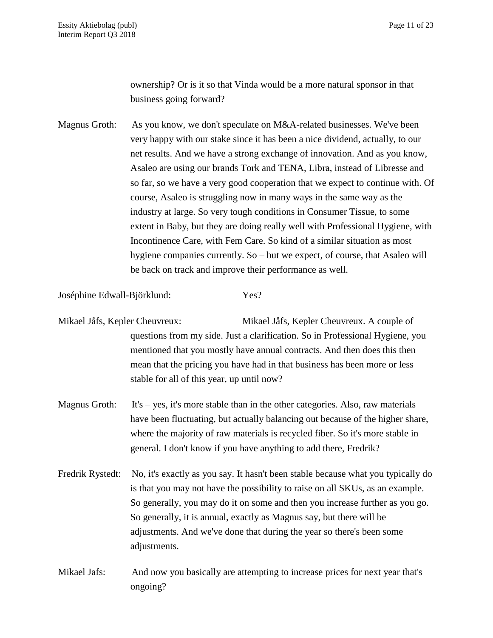ownership? Or is it so that Vinda would be a more natural sponsor in that business going forward?

Magnus Groth: As you know, we don't speculate on M&A-related businesses. We've been very happy with our stake since it has been a nice dividend, actually, to our net results. And we have a strong exchange of innovation. And as you know, Asaleo are using our brands Tork and TENA, Libra, instead of Libresse and so far, so we have a very good cooperation that we expect to continue with. Of course, Asaleo is struggling now in many ways in the same way as the industry at large. So very tough conditions in Consumer Tissue, to some extent in Baby, but they are doing really well with Professional Hygiene, with Incontinence Care, with Fem Care. So kind of a similar situation as most hygiene companies currently. So – but we expect, of course, that Asaleo will be back on track and improve their performance as well.

Joséphine Edwall-Björklund: Yes?

- Mikael Jåfs, Kepler Cheuvreux: Mikael Jåfs, Kepler Cheuvreux. A couple of questions from my side. Just a clarification. So in Professional Hygiene, you mentioned that you mostly have annual contracts. And then does this then mean that the pricing you have had in that business has been more or less stable for all of this year, up until now?
- Magnus Groth: It's yes, it's more stable than in the other categories. Also, raw materials have been fluctuating, but actually balancing out because of the higher share, where the majority of raw materials is recycled fiber. So it's more stable in general. I don't know if you have anything to add there, Fredrik?
- Fredrik Rystedt: No, it's exactly as you say. It hasn't been stable because what you typically do is that you may not have the possibility to raise on all SKUs, as an example. So generally, you may do it on some and then you increase further as you go. So generally, it is annual, exactly as Magnus say, but there will be adjustments. And we've done that during the year so there's been some adjustments.
- Mikael Jafs: And now you basically are attempting to increase prices for next year that's ongoing?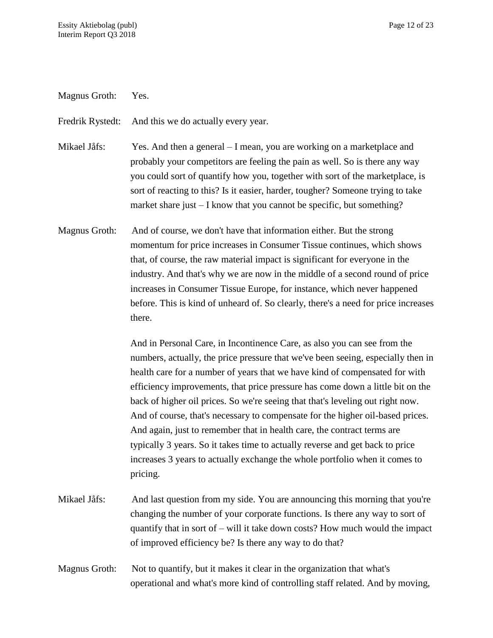Magnus Groth: Yes.

Fredrik Rystedt: And this we do actually every year.

Mikael Jåfs: Yes. And then a general – I mean, you are working on a marketplace and probably your competitors are feeling the pain as well. So is there any way you could sort of quantify how you, together with sort of the marketplace, is sort of reacting to this? Is it easier, harder, tougher? Someone trying to take market share just – I know that you cannot be specific, but something?

Magnus Groth: And of course, we don't have that information either. But the strong momentum for price increases in Consumer Tissue continues, which shows that, of course, the raw material impact is significant for everyone in the industry. And that's why we are now in the middle of a second round of price increases in Consumer Tissue Europe, for instance, which never happened before. This is kind of unheard of. So clearly, there's a need for price increases there.

> And in Personal Care, in Incontinence Care, as also you can see from the numbers, actually, the price pressure that we've been seeing, especially then in health care for a number of years that we have kind of compensated for with efficiency improvements, that price pressure has come down a little bit on the back of higher oil prices. So we're seeing that that's leveling out right now. And of course, that's necessary to compensate for the higher oil-based prices. And again, just to remember that in health care, the contract terms are typically 3 years. So it takes time to actually reverse and get back to price increases 3 years to actually exchange the whole portfolio when it comes to pricing.

- Mikael Jåfs: And last question from my side. You are announcing this morning that you're changing the number of your corporate functions. Is there any way to sort of quantify that in sort of – will it take down costs? How much would the impact of improved efficiency be? Is there any way to do that?
- Magnus Groth: Not to quantify, but it makes it clear in the organization that what's operational and what's more kind of controlling staff related. And by moving,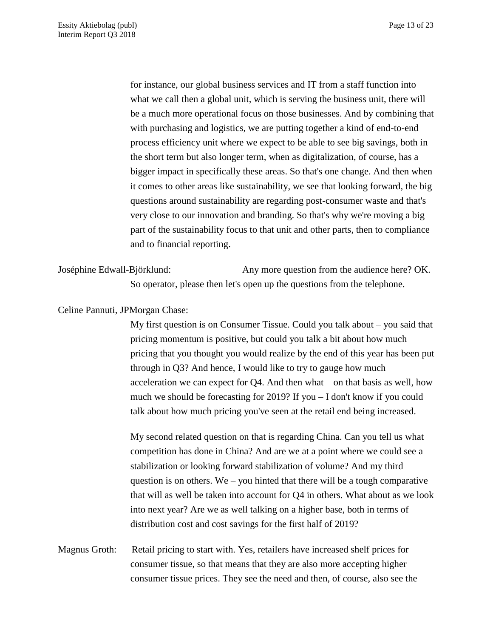for instance, our global business services and IT from a staff function into what we call then a global unit, which is serving the business unit, there will be a much more operational focus on those businesses. And by combining that with purchasing and logistics, we are putting together a kind of end-to-end process efficiency unit where we expect to be able to see big savings, both in the short term but also longer term, when as digitalization, of course, has a bigger impact in specifically these areas. So that's one change. And then when it comes to other areas like sustainability, we see that looking forward, the big questions around sustainability are regarding post-consumer waste and that's very close to our innovation and branding. So that's why we're moving a big part of the sustainability focus to that unit and other parts, then to compliance and to financial reporting.

Joséphine Edwall-Björklund: Any more question from the audience here? OK. So operator, please then let's open up the questions from the telephone.

### Celine Pannuti, JPMorgan Chase:

My first question is on Consumer Tissue. Could you talk about – you said that pricing momentum is positive, but could you talk a bit about how much pricing that you thought you would realize by the end of this year has been put through in Q3? And hence, I would like to try to gauge how much acceleration we can expect for  $Q4$ . And then what – on that basis as well, how much we should be forecasting for 2019? If you – I don't know if you could talk about how much pricing you've seen at the retail end being increased.

My second related question on that is regarding China. Can you tell us what competition has done in China? And are we at a point where we could see a stabilization or looking forward stabilization of volume? And my third question is on others. We – you hinted that there will be a tough comparative that will as well be taken into account for Q4 in others. What about as we look into next year? Are we as well talking on a higher base, both in terms of distribution cost and cost savings for the first half of 2019?

Magnus Groth: Retail pricing to start with. Yes, retailers have increased shelf prices for consumer tissue, so that means that they are also more accepting higher consumer tissue prices. They see the need and then, of course, also see the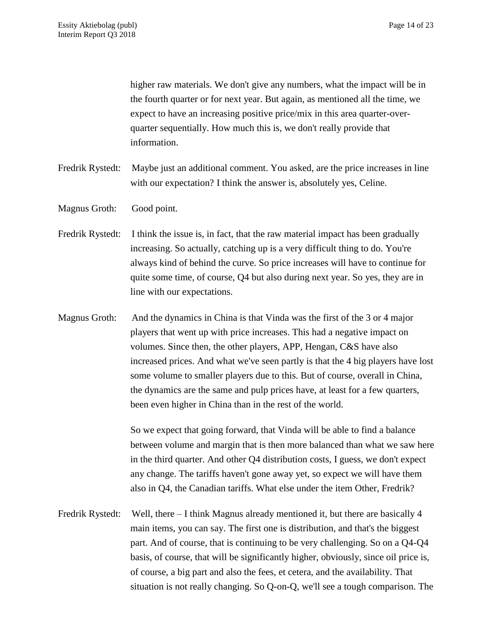higher raw materials. We don't give any numbers, what the impact will be in the fourth quarter or for next year. But again, as mentioned all the time, we expect to have an increasing positive price/mix in this area quarter-overquarter sequentially. How much this is, we don't really provide that information.

- Fredrik Rystedt: Maybe just an additional comment. You asked, are the price increases in line with our expectation? I think the answer is, absolutely yes, Celine.
- Magnus Groth: Good point.
- Fredrik Rystedt: I think the issue is, in fact, that the raw material impact has been gradually increasing. So actually, catching up is a very difficult thing to do. You're always kind of behind the curve. So price increases will have to continue for quite some time, of course, Q4 but also during next year. So yes, they are in line with our expectations.
- Magnus Groth: And the dynamics in China is that Vinda was the first of the 3 or 4 major players that went up with price increases. This had a negative impact on volumes. Since then, the other players, APP, Hengan, C&S have also increased prices. And what we've seen partly is that the 4 big players have lost some volume to smaller players due to this. But of course, overall in China, the dynamics are the same and pulp prices have, at least for a few quarters, been even higher in China than in the rest of the world.

So we expect that going forward, that Vinda will be able to find a balance between volume and margin that is then more balanced than what we saw here in the third quarter. And other Q4 distribution costs, I guess, we don't expect any change. The tariffs haven't gone away yet, so expect we will have them also in Q4, the Canadian tariffs. What else under the item Other, Fredrik?

Fredrik Rystedt: Well, there – I think Magnus already mentioned it, but there are basically 4 main items, you can say. The first one is distribution, and that's the biggest part. And of course, that is continuing to be very challenging. So on a Q4-Q4 basis, of course, that will be significantly higher, obviously, since oil price is, of course, a big part and also the fees, et cetera, and the availability. That situation is not really changing. So Q-on-Q, we'll see a tough comparison. The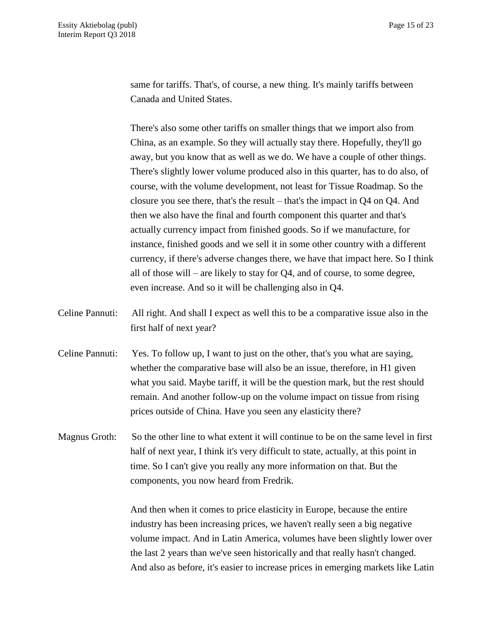same for tariffs. That's, of course, a new thing. It's mainly tariffs between Canada and United States.

There's also some other tariffs on smaller things that we import also from China, as an example. So they will actually stay there. Hopefully, they'll go away, but you know that as well as we do. We have a couple of other things. There's slightly lower volume produced also in this quarter, has to do also, of course, with the volume development, not least for Tissue Roadmap. So the closure you see there, that's the result – that's the impact in Q4 on Q4. And then we also have the final and fourth component this quarter and that's actually currency impact from finished goods. So if we manufacture, for instance, finished goods and we sell it in some other country with a different currency, if there's adverse changes there, we have that impact here. So I think all of those will – are likely to stay for Q4, and of course, to some degree, even increase. And so it will be challenging also in Q4.

- Celine Pannuti: All right. And shall I expect as well this to be a comparative issue also in the first half of next year?
- Celine Pannuti: Yes. To follow up, I want to just on the other, that's you what are saying, whether the comparative base will also be an issue, therefore, in H1 given what you said. Maybe tariff, it will be the question mark, but the rest should remain. And another follow-up on the volume impact on tissue from rising prices outside of China. Have you seen any elasticity there?
- Magnus Groth: So the other line to what extent it will continue to be on the same level in first half of next year, I think it's very difficult to state, actually, at this point in time. So I can't give you really any more information on that. But the components, you now heard from Fredrik.

And then when it comes to price elasticity in Europe, because the entire industry has been increasing prices, we haven't really seen a big negative volume impact. And in Latin America, volumes have been slightly lower over the last 2 years than we've seen historically and that really hasn't changed. And also as before, it's easier to increase prices in emerging markets like Latin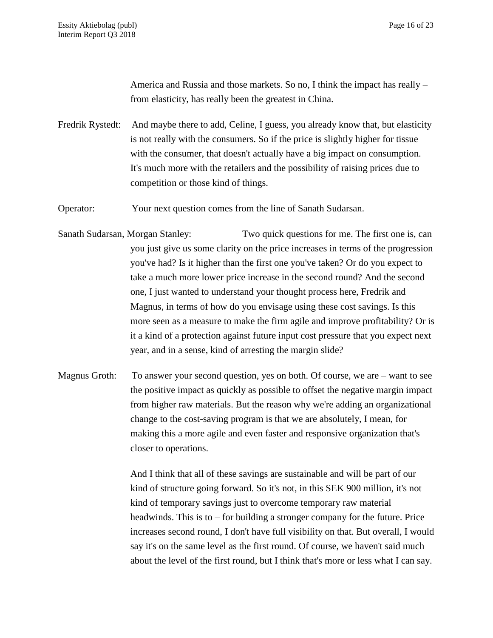America and Russia and those markets. So no, I think the impact has really – from elasticity, has really been the greatest in China.

Fredrik Rystedt: And maybe there to add, Celine, I guess, you already know that, but elasticity is not really with the consumers. So if the price is slightly higher for tissue with the consumer, that doesn't actually have a big impact on consumption. It's much more with the retailers and the possibility of raising prices due to competition or those kind of things.

Operator: Your next question comes from the line of Sanath Sudarsan.

- Sanath Sudarsan, Morgan Stanley: Two quick questions for me. The first one is, can you just give us some clarity on the price increases in terms of the progression you've had? Is it higher than the first one you've taken? Or do you expect to take a much more lower price increase in the second round? And the second one, I just wanted to understand your thought process here, Fredrik and Magnus, in terms of how do you envisage using these cost savings. Is this more seen as a measure to make the firm agile and improve profitability? Or is it a kind of a protection against future input cost pressure that you expect next year, and in a sense, kind of arresting the margin slide?
- Magnus Groth: To answer your second question, yes on both. Of course, we are want to see the positive impact as quickly as possible to offset the negative margin impact from higher raw materials. But the reason why we're adding an organizational change to the cost-saving program is that we are absolutely, I mean, for making this a more agile and even faster and responsive organization that's closer to operations.

And I think that all of these savings are sustainable and will be part of our kind of structure going forward. So it's not, in this SEK 900 million, it's not kind of temporary savings just to overcome temporary raw material headwinds. This is to – for building a stronger company for the future. Price increases second round, I don't have full visibility on that. But overall, I would say it's on the same level as the first round. Of course, we haven't said much about the level of the first round, but I think that's more or less what I can say.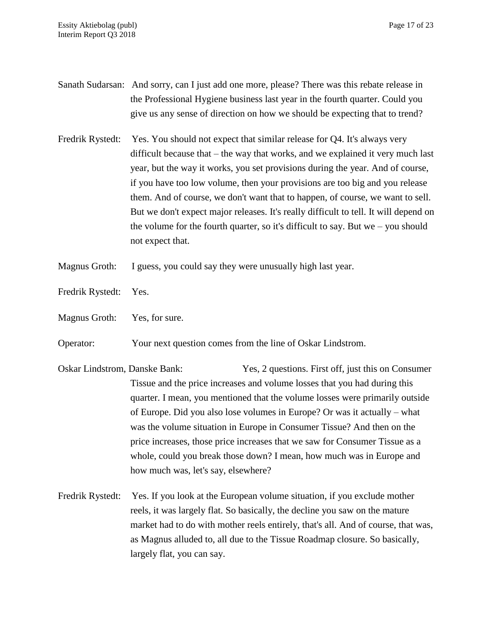- Sanath Sudarsan: And sorry, can I just add one more, please? There was this rebate release in the Professional Hygiene business last year in the fourth quarter. Could you give us any sense of direction on how we should be expecting that to trend?
- Fredrik Rystedt: Yes. You should not expect that similar release for Q4. It's always very difficult because that – the way that works, and we explained it very much last year, but the way it works, you set provisions during the year. And of course, if you have too low volume, then your provisions are too big and you release them. And of course, we don't want that to happen, of course, we want to sell. But we don't expect major releases. It's really difficult to tell. It will depend on the volume for the fourth quarter, so it's difficult to say. But we – you should not expect that.
- Magnus Groth: I guess, you could say they were unusually high last year.
- Fredrik Rystedt: Yes.
- Magnus Groth: Yes, for sure.

Operator: Your next question comes from the line of Oskar Lindstrom.

- Oskar Lindstrom, Danske Bank: Yes, 2 questions. First off, just this on Consumer Tissue and the price increases and volume losses that you had during this quarter. I mean, you mentioned that the volume losses were primarily outside of Europe. Did you also lose volumes in Europe? Or was it actually – what was the volume situation in Europe in Consumer Tissue? And then on the price increases, those price increases that we saw for Consumer Tissue as a whole, could you break those down? I mean, how much was in Europe and how much was, let's say, elsewhere?
- Fredrik Rystedt: Yes. If you look at the European volume situation, if you exclude mother reels, it was largely flat. So basically, the decline you saw on the mature market had to do with mother reels entirely, that's all. And of course, that was, as Magnus alluded to, all due to the Tissue Roadmap closure. So basically, largely flat, you can say.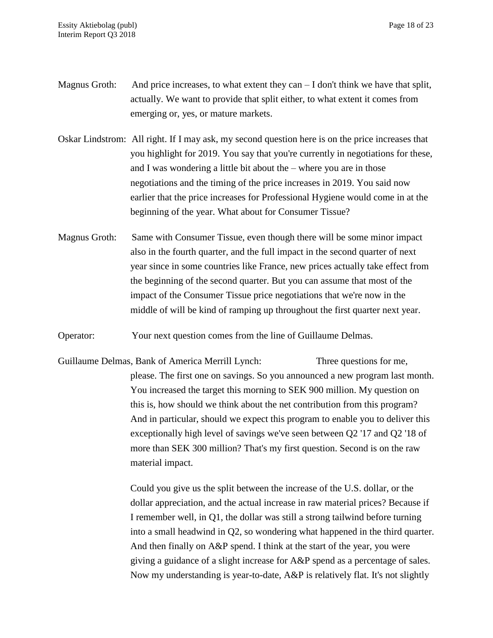- Magnus Groth: And price increases, to what extent they can  $-I$  don't think we have that split, actually. We want to provide that split either, to what extent it comes from emerging or, yes, or mature markets.
- Oskar Lindstrom: All right. If I may ask, my second question here is on the price increases that you highlight for 2019. You say that you're currently in negotiations for these, and I was wondering a little bit about the – where you are in those negotiations and the timing of the price increases in 2019. You said now earlier that the price increases for Professional Hygiene would come in at the beginning of the year. What about for Consumer Tissue?
- Magnus Groth: Same with Consumer Tissue, even though there will be some minor impact also in the fourth quarter, and the full impact in the second quarter of next year since in some countries like France, new prices actually take effect from the beginning of the second quarter. But you can assume that most of the impact of the Consumer Tissue price negotiations that we're now in the middle of will be kind of ramping up throughout the first quarter next year.
- Operator: Your next question comes from the line of Guillaume Delmas.
- Guillaume Delmas, Bank of America Merrill Lynch: Three questions for me, please. The first one on savings. So you announced a new program last month. You increased the target this morning to SEK 900 million. My question on this is, how should we think about the net contribution from this program? And in particular, should we expect this program to enable you to deliver this exceptionally high level of savings we've seen between Q2 '17 and Q2 '18 of more than SEK 300 million? That's my first question. Second is on the raw material impact.

Could you give us the split between the increase of the U.S. dollar, or the dollar appreciation, and the actual increase in raw material prices? Because if I remember well, in Q1, the dollar was still a strong tailwind before turning into a small headwind in Q2, so wondering what happened in the third quarter. And then finally on A&P spend. I think at the start of the year, you were giving a guidance of a slight increase for A&P spend as a percentage of sales. Now my understanding is year-to-date, A&P is relatively flat. It's not slightly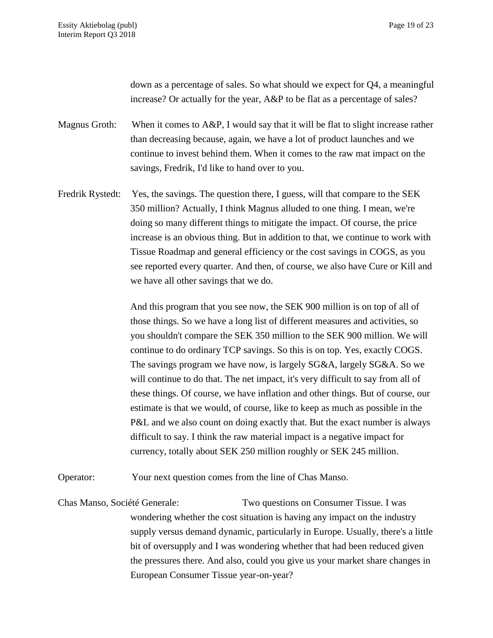down as a percentage of sales. So what should we expect for Q4, a meaningful increase? Or actually for the year, A&P to be flat as a percentage of sales?

Magnus Groth: When it comes to A&P, I would say that it will be flat to slight increase rather than decreasing because, again, we have a lot of product launches and we continue to invest behind them. When it comes to the raw mat impact on the savings, Fredrik, I'd like to hand over to you.

Fredrik Rystedt: Yes, the savings. The question there, I guess, will that compare to the SEK 350 million? Actually, I think Magnus alluded to one thing. I mean, we're doing so many different things to mitigate the impact. Of course, the price increase is an obvious thing. But in addition to that, we continue to work with Tissue Roadmap and general efficiency or the cost savings in COGS, as you see reported every quarter. And then, of course, we also have Cure or Kill and we have all other savings that we do.

> And this program that you see now, the SEK 900 million is on top of all of those things. So we have a long list of different measures and activities, so you shouldn't compare the SEK 350 million to the SEK 900 million. We will continue to do ordinary TCP savings. So this is on top. Yes, exactly COGS. The savings program we have now, is largely SG&A, largely SG&A. So we will continue to do that. The net impact, it's very difficult to say from all of these things. Of course, we have inflation and other things. But of course, our estimate is that we would, of course, like to keep as much as possible in the P&L and we also count on doing exactly that. But the exact number is always difficult to say. I think the raw material impact is a negative impact for currency, totally about SEK 250 million roughly or SEK 245 million.

Operator: Your next question comes from the line of Chas Manso.

Chas Manso, Société Generale: Two questions on Consumer Tissue. I was wondering whether the cost situation is having any impact on the industry supply versus demand dynamic, particularly in Europe. Usually, there's a little bit of oversupply and I was wondering whether that had been reduced given the pressures there. And also, could you give us your market share changes in European Consumer Tissue year-on-year?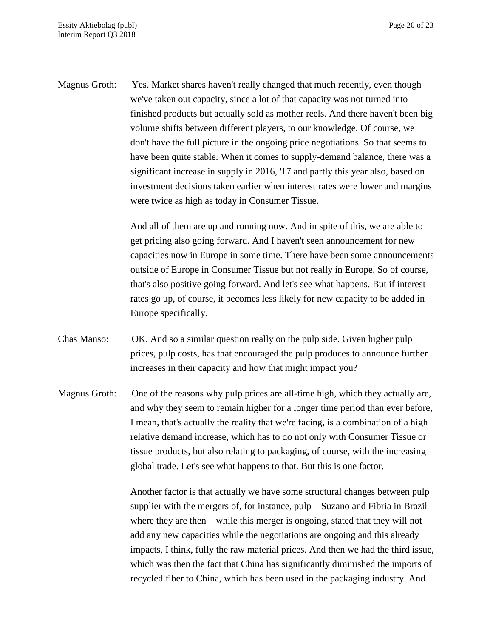Magnus Groth: Yes. Market shares haven't really changed that much recently, even though we've taken out capacity, since a lot of that capacity was not turned into finished products but actually sold as mother reels. And there haven't been big volume shifts between different players, to our knowledge. Of course, we don't have the full picture in the ongoing price negotiations. So that seems to have been quite stable. When it comes to supply-demand balance, there was a significant increase in supply in 2016, '17 and partly this year also, based on investment decisions taken earlier when interest rates were lower and margins were twice as high as today in Consumer Tissue.

> And all of them are up and running now. And in spite of this, we are able to get pricing also going forward. And I haven't seen announcement for new capacities now in Europe in some time. There have been some announcements outside of Europe in Consumer Tissue but not really in Europe. So of course, that's also positive going forward. And let's see what happens. But if interest rates go up, of course, it becomes less likely for new capacity to be added in Europe specifically.

- Chas Manso: OK. And so a similar question really on the pulp side. Given higher pulp prices, pulp costs, has that encouraged the pulp produces to announce further increases in their capacity and how that might impact you?
- Magnus Groth: One of the reasons why pulp prices are all-time high, which they actually are, and why they seem to remain higher for a longer time period than ever before, I mean, that's actually the reality that we're facing, is a combination of a high relative demand increase, which has to do not only with Consumer Tissue or tissue products, but also relating to packaging, of course, with the increasing global trade. Let's see what happens to that. But this is one factor.

Another factor is that actually we have some structural changes between pulp supplier with the mergers of, for instance, pulp – Suzano and Fibria in Brazil where they are then – while this merger is ongoing, stated that they will not add any new capacities while the negotiations are ongoing and this already impacts, I think, fully the raw material prices. And then we had the third issue, which was then the fact that China has significantly diminished the imports of recycled fiber to China, which has been used in the packaging industry. And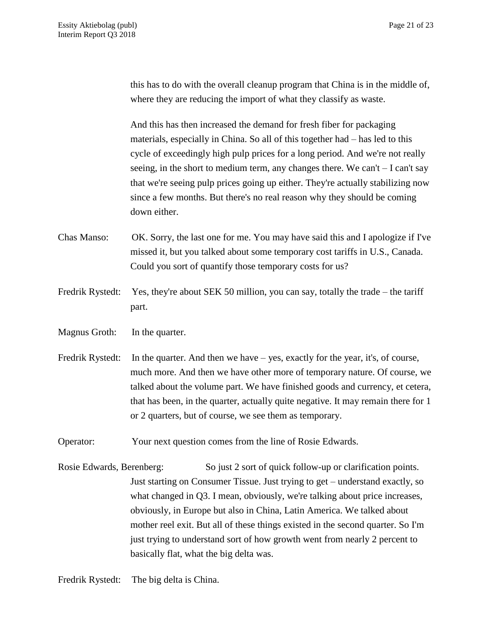this has to do with the overall cleanup program that China is in the middle of, where they are reducing the import of what they classify as waste.

And this has then increased the demand for fresh fiber for packaging materials, especially in China. So all of this together had – has led to this cycle of exceedingly high pulp prices for a long period. And we're not really seeing, in the short to medium term, any changes there. We can't – I can't say that we're seeing pulp prices going up either. They're actually stabilizing now since a few months. But there's no real reason why they should be coming down either.

Chas Manso: OK. Sorry, the last one for me. You may have said this and I apologize if I've missed it, but you talked about some temporary cost tariffs in U.S., Canada. Could you sort of quantify those temporary costs for us?

- Fredrik Rystedt: Yes, they're about SEK 50 million, you can say, totally the trade the tariff part.
- Magnus Groth: In the quarter.
- Fredrik Rystedt: In the quarter. And then we have yes, exactly for the year, it's, of course, much more. And then we have other more of temporary nature. Of course, we talked about the volume part. We have finished goods and currency, et cetera, that has been, in the quarter, actually quite negative. It may remain there for 1 or 2 quarters, but of course, we see them as temporary.

Operator: Your next question comes from the line of Rosie Edwards.

Rosie Edwards, Berenberg: So just 2 sort of quick follow-up or clarification points. Just starting on Consumer Tissue. Just trying to get – understand exactly, so what changed in Q3. I mean, obviously, we're talking about price increases, obviously, in Europe but also in China, Latin America. We talked about mother reel exit. But all of these things existed in the second quarter. So I'm just trying to understand sort of how growth went from nearly 2 percent to basically flat, what the big delta was.

Fredrik Rystedt: The big delta is China.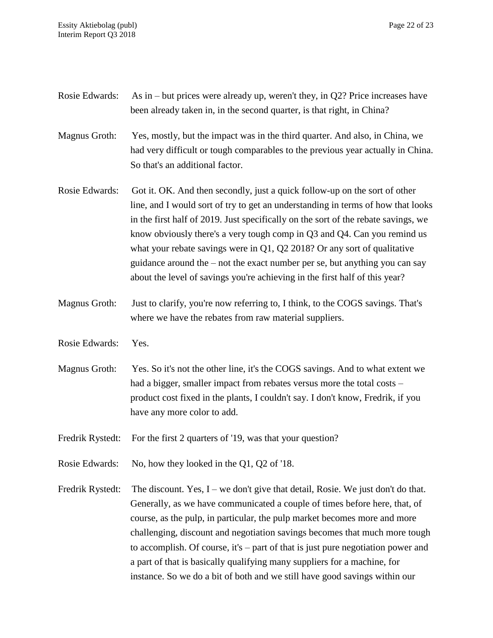| Rosie Edwards:   | As in $-$ but prices were already up, weren't they, in Q2? Price increases have<br>been already taken in, in the second quarter, is that right, in China?                                                                                                                                                                                                                                                                                                                                                                                                                       |
|------------------|---------------------------------------------------------------------------------------------------------------------------------------------------------------------------------------------------------------------------------------------------------------------------------------------------------------------------------------------------------------------------------------------------------------------------------------------------------------------------------------------------------------------------------------------------------------------------------|
| Magnus Groth:    | Yes, mostly, but the impact was in the third quarter. And also, in China, we<br>had very difficult or tough comparables to the previous year actually in China.<br>So that's an additional factor.                                                                                                                                                                                                                                                                                                                                                                              |
| Rosie Edwards:   | Got it. OK. And then secondly, just a quick follow-up on the sort of other<br>line, and I would sort of try to get an understanding in terms of how that looks<br>in the first half of 2019. Just specifically on the sort of the rebate savings, we<br>know obviously there's a very tough comp in Q3 and Q4. Can you remind us<br>what your rebate savings were in $Q1$ , $Q2$ 2018? Or any sort of qualitative<br>guidance around the – not the exact number per se, but anything you can say<br>about the level of savings you're achieving in the first half of this year? |
| Magnus Groth:    | Just to clarify, you're now referring to, I think, to the COGS savings. That's<br>where we have the rebates from raw material suppliers.                                                                                                                                                                                                                                                                                                                                                                                                                                        |
| Rosie Edwards:   | Yes.                                                                                                                                                                                                                                                                                                                                                                                                                                                                                                                                                                            |
| Magnus Groth:    | Yes. So it's not the other line, it's the COGS savings. And to what extent we<br>had a bigger, smaller impact from rebates versus more the total costs –<br>product cost fixed in the plants, I couldn't say. I don't know, Fredrik, if you<br>have any more color to add.                                                                                                                                                                                                                                                                                                      |
| Fredrik Rystedt: | For the first 2 quarters of '19, was that your question?                                                                                                                                                                                                                                                                                                                                                                                                                                                                                                                        |
| Rosie Edwards:   | No, how they looked in the Q1, Q2 of '18.                                                                                                                                                                                                                                                                                                                                                                                                                                                                                                                                       |
| Fredrik Rystedt: | The discount. Yes, I – we don't give that detail, Rosie. We just don't do that.<br>Generally, as we have communicated a couple of times before here, that, of<br>course, as the pulp, in particular, the pulp market becomes more and more<br>challenging, discount and negotiation savings becomes that much more tough<br>to accomplish. Of course, it's – part of that is just pure negotiation power and<br>a part of that is basically qualifying many suppliers for a machine, for<br>instance. So we do a bit of both and we still have good savings within our          |